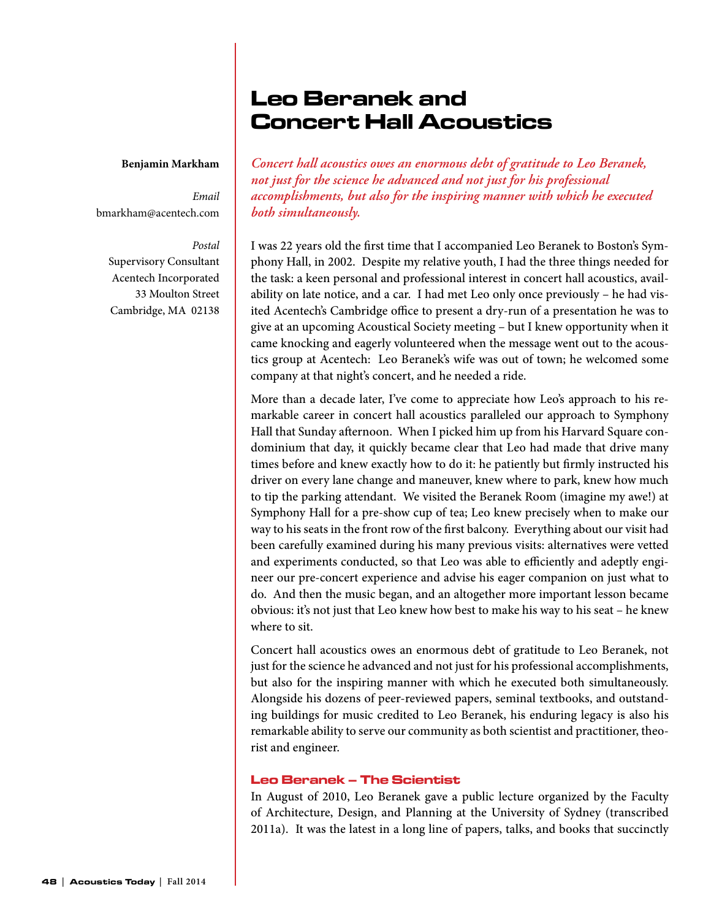# Leo Beranek and Concert Hall Acoustics

#### **Benjamin Markham**

*Email* bmarkham@acentech.com

#### *Postal*

Supervisory Consultant Acentech Incorporated 33 Moulton Street Cambridge, MA 02138 *Concert hall acoustics owes an enormous debt of gratitude to Leo Beranek, not just for the science he advanced and not just for his professional accomplishments, but also for the inspiring manner with which he executed both simultaneously.*

I was 22 years old the first time that I accompanied Leo Beranek to Boston's Symphony Hall, in 2002. Despite my relative youth, I had the three things needed for the task: a keen personal and professional interest in concert hall acoustics, availability on late notice, and a car. I had met Leo only once previously – he had visited Acentech's Cambridge office to present a dry-run of a presentation he was to give at an upcoming Acoustical Society meeting – but I knew opportunity when it came knocking and eagerly volunteered when the message went out to the acoustics group at Acentech: Leo Beranek's wife was out of town; he welcomed some company at that night's concert, and he needed a ride.

More than a decade later, I've come to appreciate how Leo's approach to his remarkable career in concert hall acoustics paralleled our approach to Symphony Hall that Sunday afternoon. When I picked him up from his Harvard Square condominium that day, it quickly became clear that Leo had made that drive many times before and knew exactly how to do it: he patiently but firmly instructed his driver on every lane change and maneuver, knew where to park, knew how much to tip the parking attendant. We visited the Beranek Room (imagine my awe!) at Symphony Hall for a pre-show cup of tea; Leo knew precisely when to make our way to his seats in the front row of the first balcony. Everything about our visit had been carefully examined during his many previous visits: alternatives were vetted and experiments conducted, so that Leo was able to efficiently and adeptly engineer our pre-concert experience and advise his eager companion on just what to do. And then the music began, and an altogether more important lesson became obvious: it's not just that Leo knew how best to make his way to his seat – he knew where to sit.

Concert hall acoustics owes an enormous debt of gratitude to Leo Beranek, not just for the science he advanced and not just for his professional accomplishments, but also for the inspiring manner with which he executed both simultaneously. Alongside his dozens of peer-reviewed papers, seminal textbooks, and outstanding buildings for music credited to Leo Beranek, his enduring legacy is also his remarkable ability to serve our community as both scientist and practitioner, theorist and engineer.

# Leo Beranek – The Scientist

In August of 2010, Leo Beranek gave a public lecture organized by the Faculty of Architecture, Design, and Planning at the University of Sydney (transcribed 2011a). It was the latest in a long line of papers, talks, and books that succinctly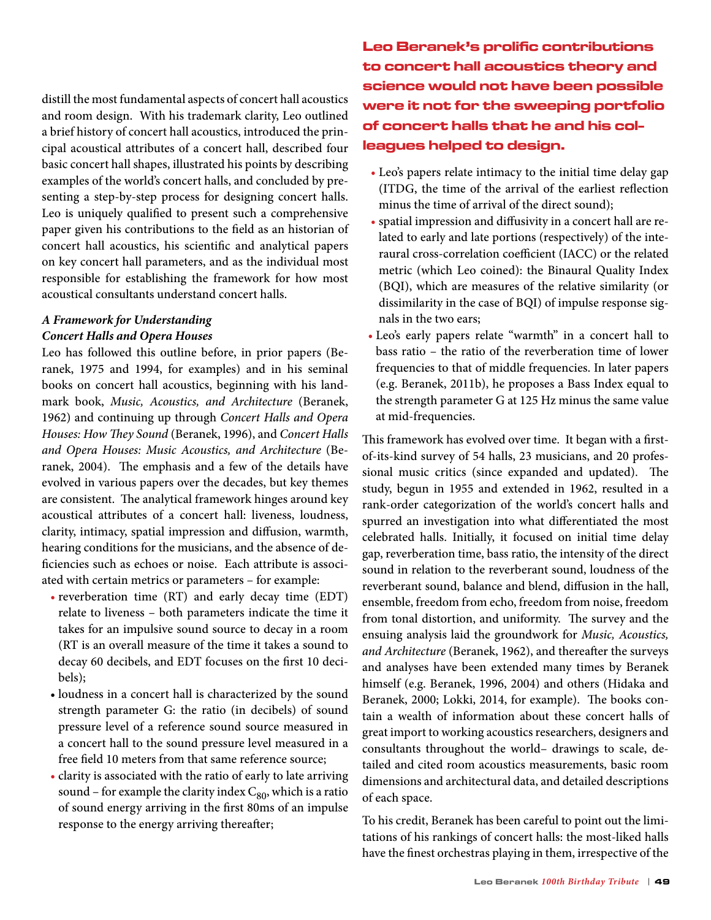distill the most fundamental aspects of concert hall acoustics and room design. With his trademark clarity, Leo outlined a brief history of concert hall acoustics, introduced the principal acoustical attributes of a concert hall, described four basic concert hall shapes, illustrated his points by describing examples of the world's concert halls, and concluded by presenting a step-by-step process for designing concert halls. Leo is uniquely qualified to present such a comprehensive paper given his contributions to the field as an historian of concert hall acoustics, his scientific and analytical papers on key concert hall parameters, and as the individual most responsible for establishing the framework for how most acoustical consultants understand concert halls.

# *A Framework for Understanding Concert Halls and Opera Houses*

Leo has followed this outline before, in prior papers (Beranek, 1975 and 1994, for examples) and in his seminal books on concert hall acoustics, beginning with his landmark book, *Music, Acoustics, and Architecture* (Beranek, 1962) and continuing up through *Concert Halls and Opera Houses: How They Sound* (Beranek, 1996), and *Concert Halls and Opera Houses: Music Acoustics, and Architecture* (Beranek, 2004). The emphasis and a few of the details have evolved in various papers over the decades, but key themes are consistent. The analytical framework hinges around key acoustical attributes of a concert hall: liveness, loudness, clarity, intimacy, spatial impression and diffusion, warmth, hearing conditions for the musicians, and the absence of deficiencies such as echoes or noise. Each attribute is associated with certain metrics or parameters – for example:

- reverberation time (RT) and early decay time (EDT) relate to liveness – both parameters indicate the time it takes for an impulsive sound source to decay in a room (RT is an overall measure of the time it takes a sound to decay 60 decibels, and EDT focuses on the first 10 decibels);
- loudness in a concert hall is characterized by the sound strength parameter G: the ratio (in decibels) of sound pressure level of a reference sound source measured in a concert hall to the sound pressure level measured in a free field 10 meters from that same reference source;
- clarity is associated with the ratio of early to late arriving sound – for example the clarity index  $C_{80}$ , which is a ratio of sound energy arriving in the first 80ms of an impulse response to the energy arriving thereafter;

Leo Beranek's prolific contributions to concert hall acoustics theory and science would not have been possible were it not for the sweeping portfolio of concert halls that he and his colleagues helped to design.

- Leo's papers relate intimacy to the initial time delay gap (ITDG, the time of the arrival of the earliest reflection minus the time of arrival of the direct sound);
- spatial impression and diffusivity in a concert hall are related to early and late portions (respectively) of the interaural cross-correlation coefficient (IACC) or the related metric (which Leo coined): the Binaural Quality Index (BQI), which are measures of the relative similarity (or dissimilarity in the case of BQI) of impulse response signals in the two ears;
- Leo's early papers relate "warmth" in a concert hall to bass ratio – the ratio of the reverberation time of lower frequencies to that of middle frequencies. In later papers (e.g. Beranek, 2011b), he proposes a Bass Index equal to the strength parameter G at 125 Hz minus the same value at mid-frequencies.

This framework has evolved over time. It began with a firstof-its-kind survey of 54 halls, 23 musicians, and 20 professional music critics (since expanded and updated). The study, begun in 1955 and extended in 1962, resulted in a rank-order categorization of the world's concert halls and spurred an investigation into what differentiated the most celebrated halls. Initially, it focused on initial time delay gap, reverberation time, bass ratio, the intensity of the direct sound in relation to the reverberant sound, loudness of the reverberant sound, balance and blend, diffusion in the hall, ensemble, freedom from echo, freedom from noise, freedom from tonal distortion, and uniformity. The survey and the ensuing analysis laid the groundwork for *Music, Acoustics, and Architecture* (Beranek, 1962), and thereafter the surveys and analyses have been extended many times by Beranek himself (e.g. Beranek, 1996, 2004) and others (Hidaka and Beranek, 2000; Lokki, 2014, for example). The books contain a wealth of information about these concert halls of great import to working acoustics researchers, designers and consultants throughout the world– drawings to scale, detailed and cited room acoustics measurements, basic room dimensions and architectural data, and detailed descriptions of each space.

To his credit, Beranek has been careful to point out the limitations of his rankings of concert halls: the most-liked halls have the finest orchestras playing in them, irrespective of the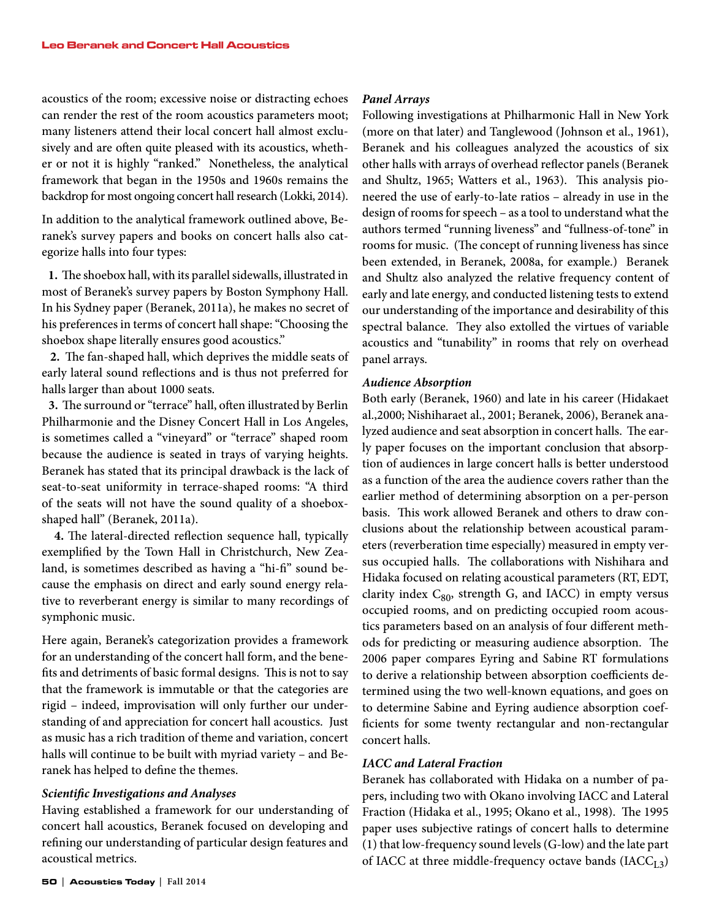acoustics of the room; excessive noise or distracting echoes can render the rest of the room acoustics parameters moot; many listeners attend their local concert hall almost exclusively and are often quite pleased with its acoustics, whether or not it is highly "ranked." Nonetheless, the analytical framework that began in the 1950s and 1960s remains the backdrop for most ongoing concert hall research (Lokki, 2014).

In addition to the analytical framework outlined above, Beranek's survey papers and books on concert halls also categorize halls into four types:

**1.** The shoebox hall, with its parallel sidewalls, illustrated in most of Beranek's survey papers by Boston Symphony Hall. In his Sydney paper (Beranek, 2011a), he makes no secret of his preferences in terms of concert hall shape: "Choosing the shoebox shape literally ensures good acoustics."

**2.** The fan-shaped hall, which deprives the middle seats of early lateral sound reflections and is thus not preferred for halls larger than about 1000 seats.

**3.** The surround or "terrace" hall, often illustrated by Berlin Philharmonie and the Disney Concert Hall in Los Angeles, is sometimes called a "vineyard" or "terrace" shaped room because the audience is seated in trays of varying heights. Beranek has stated that its principal drawback is the lack of seat-to-seat uniformity in terrace-shaped rooms: "A third of the seats will not have the sound quality of a shoeboxshaped hall" (Beranek, 2011a).

**4.** The lateral-directed reflection sequence hall, typically exemplified by the Town Hall in Christchurch, New Zealand, is sometimes described as having a "hi-fi" sound because the emphasis on direct and early sound energy relative to reverberant energy is similar to many recordings of symphonic music.

Here again, Beranek's categorization provides a framework for an understanding of the concert hall form, and the benefits and detriments of basic formal designs. This is not to say that the framework is immutable or that the categories are rigid – indeed, improvisation will only further our understanding of and appreciation for concert hall acoustics. Just as music has a rich tradition of theme and variation, concert halls will continue to be built with myriad variety – and Beranek has helped to define the themes.

# *Scientific Investigations and Analyses*

Having established a framework for our understanding of concert hall acoustics, Beranek focused on developing and refining our understanding of particular design features and acoustical metrics.

Following investigations at Philharmonic Hall in New York (more on that later) and Tanglewood (Johnson et al., 1961), Beranek and his colleagues analyzed the acoustics of six other halls with arrays of overhead reflector panels (Beranek and Shultz, 1965; Watters et al., 1963). This analysis pioneered the use of early-to-late ratios – already in use in the design of rooms for speech – as a tool to understand what the authors termed "running liveness" and "fullness-of-tone" in rooms for music. (The concept of running liveness has since been extended, in Beranek, 2008a, for example.) Beranek and Shultz also analyzed the relative frequency content of early and late energy, and conducted listening tests to extend our understanding of the importance and desirability of this spectral balance. They also extolled the virtues of variable acoustics and "tunability" in rooms that rely on overhead panel arrays.

# *Audience Absorption*

Both early (Beranek, 1960) and late in his career (Hidakaet al.,2000; Nishiharaet al., 2001; Beranek, 2006), Beranek analyzed audience and seat absorption in concert halls. The early paper focuses on the important conclusion that absorption of audiences in large concert halls is better understood as a function of the area the audience covers rather than the earlier method of determining absorption on a per-person basis. This work allowed Beranek and others to draw conclusions about the relationship between acoustical parameters (reverberation time especially) measured in empty versus occupied halls. The collaborations with Nishihara and Hidaka focused on relating acoustical parameters (RT, EDT, clarity index  $C_{80}$ , strength G, and IACC) in empty versus occupied rooms, and on predicting occupied room acoustics parameters based on an analysis of four different methods for predicting or measuring audience absorption. The 2006 paper compares Eyring and Sabine RT formulations to derive a relationship between absorption coefficients determined using the two well-known equations, and goes on to determine Sabine and Eyring audience absorption coefficients for some twenty rectangular and non-rectangular concert halls.

# *IACC and Lateral Fraction*

Beranek has collaborated with Hidaka on a number of papers, including two with Okano involving IACC and Lateral Fraction (Hidaka et al., 1995; Okano et al., 1998). The 1995 paper uses subjective ratings of concert halls to determine (1) that low-frequency sound levels (G-low) and the late part of IACC at three middle-frequency octave bands  $(IACC<sub>L3</sub>)$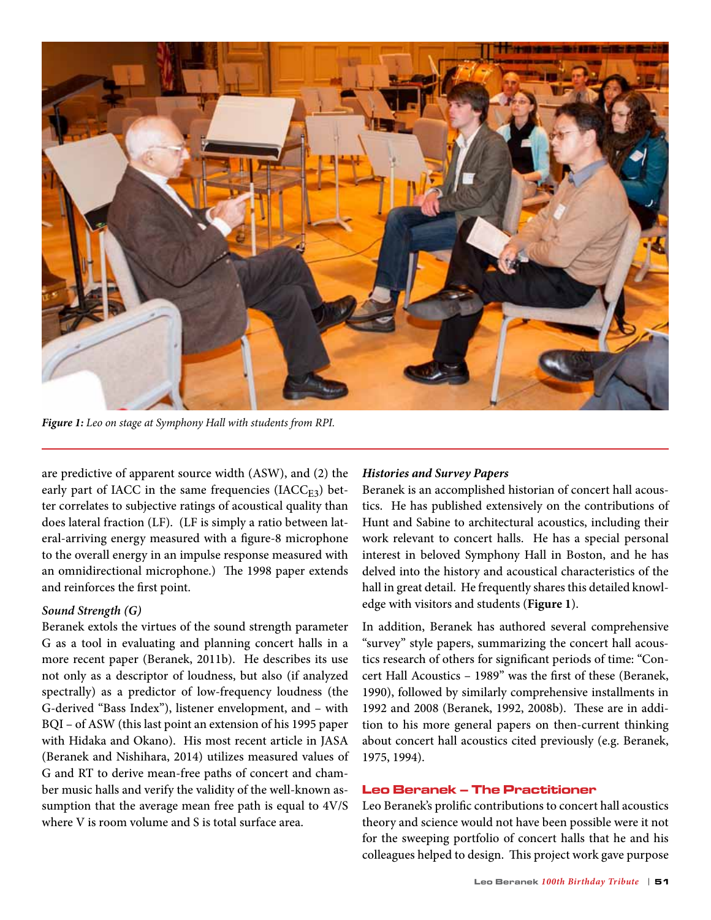

*Figure 1: Leo on stage at Symphony Hall with students from RPI.*

are predictive of apparent source width (ASW), and (2) the early part of IACC in the same frequencies (IACC<sub>E3</sub>) better correlates to subjective ratings of acoustical quality than does lateral fraction (LF). (LF is simply a ratio between lateral-arriving energy measured with a figure-8 microphone to the overall energy in an impulse response measured with an omnidirectional microphone.) The 1998 paper extends and reinforces the first point.

# *Sound Strength (G)*

Beranek extols the virtues of the sound strength parameter G as a tool in evaluating and planning concert halls in a more recent paper (Beranek, 2011b). He describes its use not only as a descriptor of loudness, but also (if analyzed spectrally) as a predictor of low-frequency loudness (the G-derived "Bass Index"), listener envelopment, and – with BQI – of ASW (this last point an extension of his 1995 paper with Hidaka and Okano). His most recent article in JASA (Beranek and Nishihara, 2014) utilizes measured values of G and RT to derive mean-free paths of concert and chamber music halls and verify the validity of the well-known assumption that the average mean free path is equal to 4V/S where V is room volume and S is total surface area.

# *Histories and Survey Papers*

Beranek is an accomplished historian of concert hall acoustics. He has published extensively on the contributions of Hunt and Sabine to architectural acoustics, including their work relevant to concert halls. He has a special personal interest in beloved Symphony Hall in Boston, and he has delved into the history and acoustical characteristics of the hall in great detail. He frequently shares this detailed knowledge with visitors and students (**Figure 1**).

In addition, Beranek has authored several comprehensive "survey" style papers, summarizing the concert hall acoustics research of others for significant periods of time: "Concert Hall Acoustics – 1989" was the first of these (Beranek, 1990), followed by similarly comprehensive installments in 1992 and 2008 (Beranek, 1992, 2008b). These are in addition to his more general papers on then-current thinking about concert hall acoustics cited previously (e.g. Beranek, 1975, 1994).

# Leo Beranek – The Practitioner

Leo Beranek's prolific contributions to concert hall acoustics theory and science would not have been possible were it not for the sweeping portfolio of concert halls that he and his colleagues helped to design. This project work gave purpose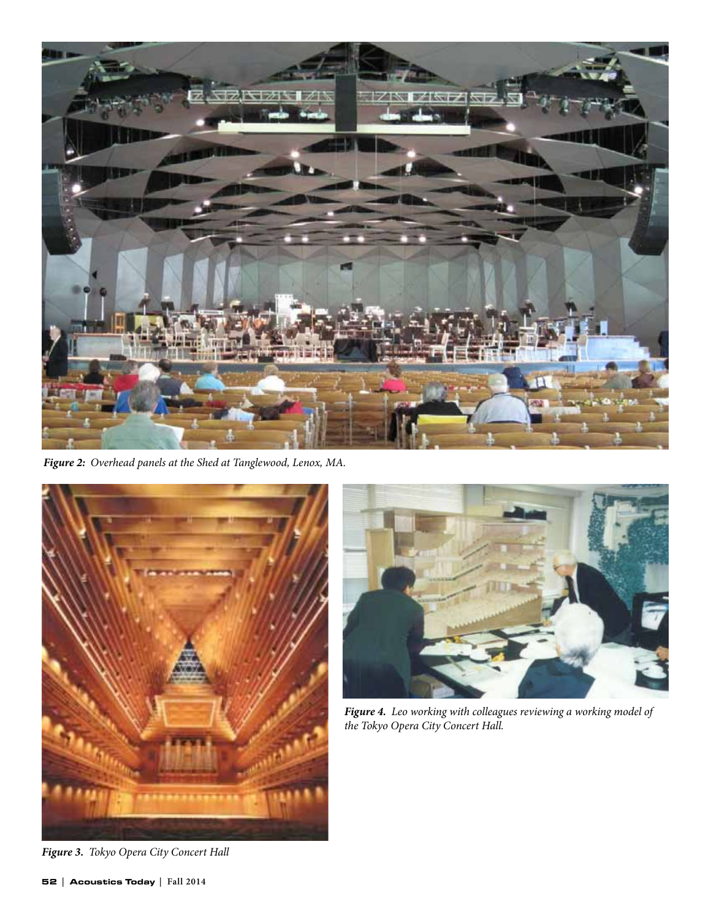

*Figure 2: Overhead panels at the Shed at Tanglewood, Lenox, MA.*





*Figure 4. Leo working with colleagues reviewing a working model of the Tokyo Opera City Concert Hall.*

*Figure 3. Tokyo Opera City Concert Hall*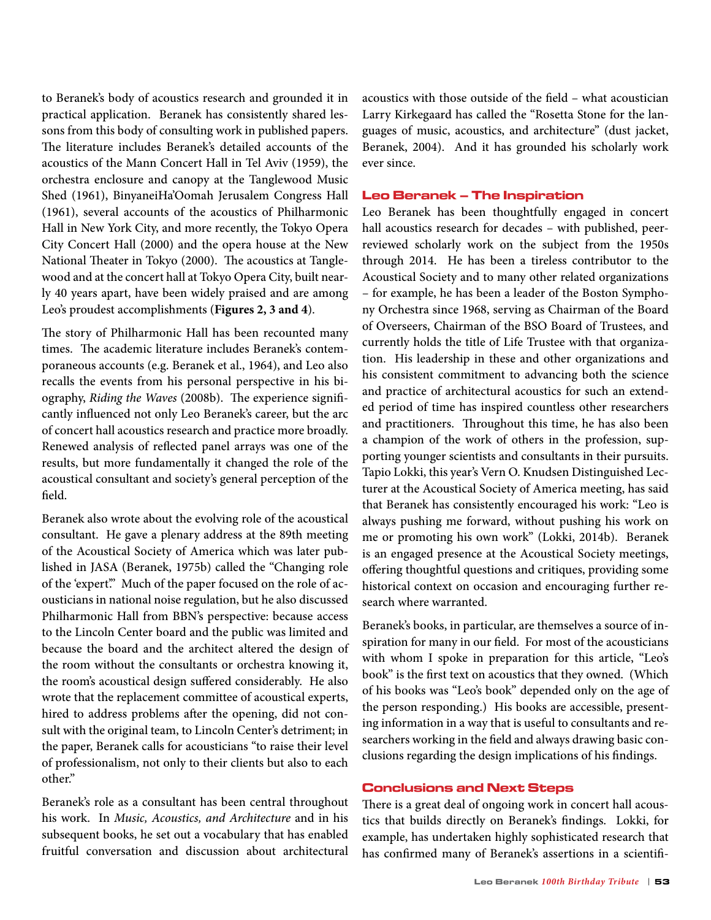to Beranek's body of acoustics research and grounded it in practical application. Beranek has consistently shared lessons from this body of consulting work in published papers. The literature includes Beranek's detailed accounts of the acoustics of the Mann Concert Hall in Tel Aviv (1959), the orchestra enclosure and canopy at the Tanglewood Music Shed (1961), BinyaneiHa'Oomah Jerusalem Congress Hall (1961), several accounts of the acoustics of Philharmonic Hall in New York City, and more recently, the Tokyo Opera City Concert Hall (2000) and the opera house at the New National Theater in Tokyo (2000). The acoustics at Tanglewood and at the concert hall at Tokyo Opera City, built nearly 40 years apart, have been widely praised and are among Leo's proudest accomplishments (**Figures 2, 3 and 4**).

The story of Philharmonic Hall has been recounted many times. The academic literature includes Beranek's contemporaneous accounts (e.g. Beranek et al., 1964), and Leo also recalls the events from his personal perspective in his biography, *Riding the Waves* (2008b). The experience significantly influenced not only Leo Beranek's career, but the arc of concert hall acoustics research and practice more broadly. Renewed analysis of reflected panel arrays was one of the results, but more fundamentally it changed the role of the acoustical consultant and society's general perception of the field.

Beranek also wrote about the evolving role of the acoustical consultant. He gave a plenary address at the 89th meeting of the Acoustical Society of America which was later published in JASA (Beranek, 1975b) called the "Changing role of the 'expert'." Much of the paper focused on the role of acousticians in national noise regulation, but he also discussed Philharmonic Hall from BBN's perspective: because access to the Lincoln Center board and the public was limited and because the board and the architect altered the design of the room without the consultants or orchestra knowing it, the room's acoustical design suffered considerably. He also wrote that the replacement committee of acoustical experts, hired to address problems after the opening, did not consult with the original team, to Lincoln Center's detriment; in the paper, Beranek calls for acousticians "to raise their level of professionalism, not only to their clients but also to each other."

Beranek's role as a consultant has been central throughout his work. In *Music, Acoustics, and Architecture* and in his subsequent books, he set out a vocabulary that has enabled fruitful conversation and discussion about architectural acoustics with those outside of the field – what acoustician Larry Kirkegaard has called the "Rosetta Stone for the languages of music, acoustics, and architecture" (dust jacket, Beranek, 2004). And it has grounded his scholarly work ever since.

## Leo Beranek – The Inspiration

Leo Beranek has been thoughtfully engaged in concert hall acoustics research for decades – with published, peerreviewed scholarly work on the subject from the 1950s through 2014. He has been a tireless contributor to the Acoustical Society and to many other related organizations – for example, he has been a leader of the Boston Symphony Orchestra since 1968, serving as Chairman of the Board of Overseers, Chairman of the BSO Board of Trustees, and currently holds the title of Life Trustee with that organization. His leadership in these and other organizations and his consistent commitment to advancing both the science and practice of architectural acoustics for such an extended period of time has inspired countless other researchers and practitioners. Throughout this time, he has also been a champion of the work of others in the profession, supporting younger scientists and consultants in their pursuits. Tapio Lokki, this year's Vern O. Knudsen Distinguished Lecturer at the Acoustical Society of America meeting, has said that Beranek has consistently encouraged his work: "Leo is always pushing me forward, without pushing his work on me or promoting his own work" (Lokki, 2014b). Beranek is an engaged presence at the Acoustical Society meetings, offering thoughtful questions and critiques, providing some historical context on occasion and encouraging further research where warranted.

Beranek's books, in particular, are themselves a source of inspiration for many in our field. For most of the acousticians with whom I spoke in preparation for this article, "Leo's book" is the first text on acoustics that they owned. (Which of his books was "Leo's book" depended only on the age of the person responding.) His books are accessible, presenting information in a way that is useful to consultants and researchers working in the field and always drawing basic conclusions regarding the design implications of his findings.

# Conclusions and Next Steps

There is a great deal of ongoing work in concert hall acoustics that builds directly on Beranek's findings. Lokki, for example, has undertaken highly sophisticated research that has confirmed many of Beranek's assertions in a scientifi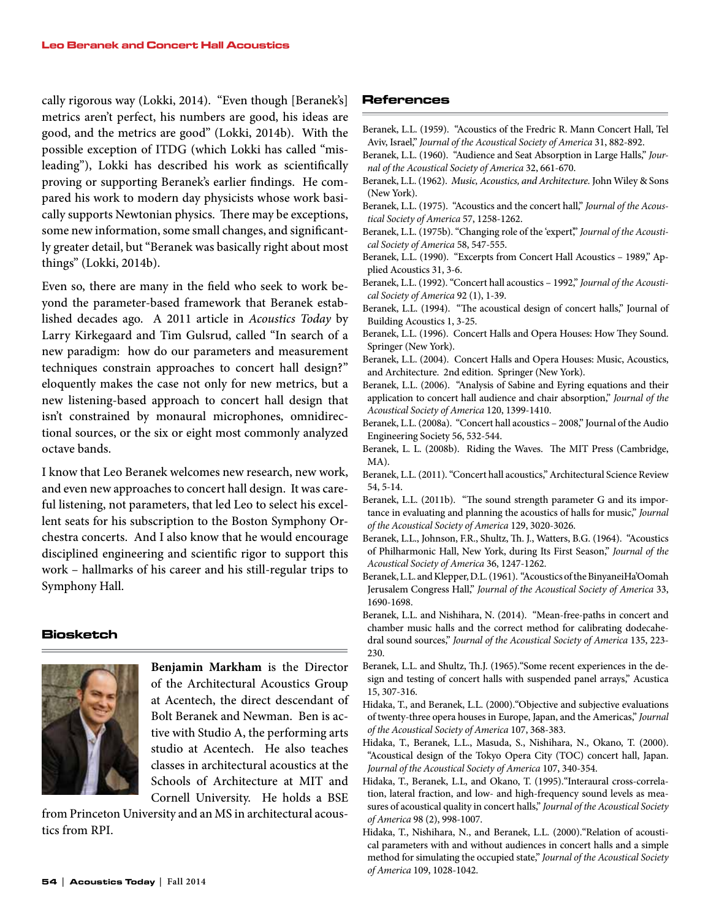cally rigorous way (Lokki, 2014). "Even though [Beranek's] metrics aren't perfect, his numbers are good, his ideas are good, and the metrics are good" (Lokki, 2014b). With the possible exception of ITDG (which Lokki has called "misleading"), Lokki has described his work as scientifically proving or supporting Beranek's earlier findings. He compared his work to modern day physicists whose work basically supports Newtonian physics. There may be exceptions, some new information, some small changes, and significantly greater detail, but "Beranek was basically right about most things" (Lokki, 2014b).

Even so, there are many in the field who seek to work beyond the parameter-based framework that Beranek established decades ago. A 2011 article in *Acoustics Today* by Larry Kirkegaard and Tim Gulsrud, called "In search of a new paradigm: how do our parameters and measurement techniques constrain approaches to concert hall design?" eloquently makes the case not only for new metrics, but a new listening-based approach to concert hall design that isn't constrained by monaural microphones, omnidirectional sources, or the six or eight most commonly analyzed octave bands.

I know that Leo Beranek welcomes new research, new work, and even new approaches to concert hall design. It was careful listening, not parameters, that led Leo to select his excellent seats for his subscription to the Boston Symphony Orchestra concerts. And I also know that he would encourage disciplined engineering and scientific rigor to support this work – hallmarks of his career and his still-regular trips to Symphony Hall.

#### Biosketch



**Benjamin Markham** is the Director of the Architectural Acoustics Group at Acentech, the direct descendant of Bolt Beranek and Newman. Ben is active with Studio A, the performing arts studio at Acentech. He also teaches classes in architectural acoustics at the Schools of Architecture at MIT and Cornell University. He holds a BSE

from Princeton University and an MS in architectural acoustics from RPI.

# References

- Beranek, L.L. (1959). "Acoustics of the Fredric R. Mann Concert Hall, Tel Aviv, Israel," *Journal of the Acoustical Society of America* 31, 882-892.
- Beranek, L.L. (1960). "Audience and Seat Absorption in Large Halls," *Journal of the Acoustical Society of America* 32, 661-670.
- Beranek, L.L. (1962). *Music, Acoustics, and Architecture.* John Wiley & Sons (New York).
- Beranek, L.L. (1975). "Acoustics and the concert hall," *Journal of the Acoustical Society of America* 57, 1258-1262.
- Beranek, L.L. (1975b). "Changing role of the 'expert'," *Journal of the Acoustical Society of America* 58, 547-555.
- Beranek, L.L. (1990). "Excerpts from Concert Hall Acoustics 1989," Applied Acoustics 31, 3-6.
- Beranek, L.L. (1992). "Concert hall acoustics 1992," *Journal of the Acoustical Society of America* 92 (1), 1-39.
- Beranek, L.L. (1994). "The acoustical design of concert halls," Journal of Building Acoustics 1, 3-25.
- Beranek, L.L. (1996). Concert Halls and Opera Houses: How They Sound. Springer (New York).
- Beranek, L.L. (2004). Concert Halls and Opera Houses: Music, Acoustics, and Architecture. 2nd edition. Springer (New York).
- Beranek, L.L. (2006). "Analysis of Sabine and Eyring equations and their application to concert hall audience and chair absorption," *Journal of the Acoustical Society of America* 120, 1399-1410.
- Beranek, L.L. (2008a). "Concert hall acoustics 2008," Journal of the Audio Engineering Society 56, 532-544.
- Beranek, L. L. (2008b). Riding the Waves. The MIT Press (Cambridge, MA).
- Beranek, L.L. (2011). "Concert hall acoustics," Architectural Science Review 54, 5-14.
- Beranek, L.L. (2011b). "The sound strength parameter G and its importance in evaluating and planning the acoustics of halls for music," *Journal of the Acoustical Society of America* 129, 3020-3026.
- Beranek, L.L., Johnson, F.R., Shultz, Th. J., Watters, B.G. (1964). "Acoustics of Philharmonic Hall, New York, during Its First Season," *Journal of the Acoustical Society of America* 36, 1247-1262.
- Beranek, L.L. and Klepper, D.L. (1961). "Acoustics of the BinyaneiHa'Oomah Jerusalem Congress Hall," *Journal of the Acoustical Society of America* 33, 1690-1698.
- Beranek, L.L. and Nishihara, N. (2014). "Mean-free-paths in concert and chamber music halls and the correct method for calibrating dodecahedral sound sources," *Journal of the Acoustical Society of America* 135, 223- 230.
- Beranek, L.L. and Shultz, Th.J. (1965)."Some recent experiences in the design and testing of concert halls with suspended panel arrays," Acustica 15, 307-316.
- Hidaka, T., and Beranek, L.L. (2000)."Objective and subjective evaluations of twenty-three opera houses in Europe, Japan, and the Americas," *Journal of the Acoustical Society of America* 107, 368-383.
- Hidaka, T., Beranek, L.L., Masuda, S., Nishihara, N., Okano, T. (2000). "Acoustical design of the Tokyo Opera City (TOC) concert hall, Japan. *Journal of the Acoustical Society of America* 107, 340-354.
- Hidaka, T., Beranek, L.L, and Okano, T. (1995)."Interaural cross-correlation, lateral fraction, and low- and high-frequency sound levels as measures of acoustical quality in concert halls," *Journal of the Acoustical Society of America* 98 (2), 998-1007.
- Hidaka, T., Nishihara, N., and Beranek, L.L. (2000)."Relation of acoustical parameters with and without audiences in concert halls and a simple method for simulating the occupied state," *Journal of the Acoustical Society of America* 109, 1028-1042.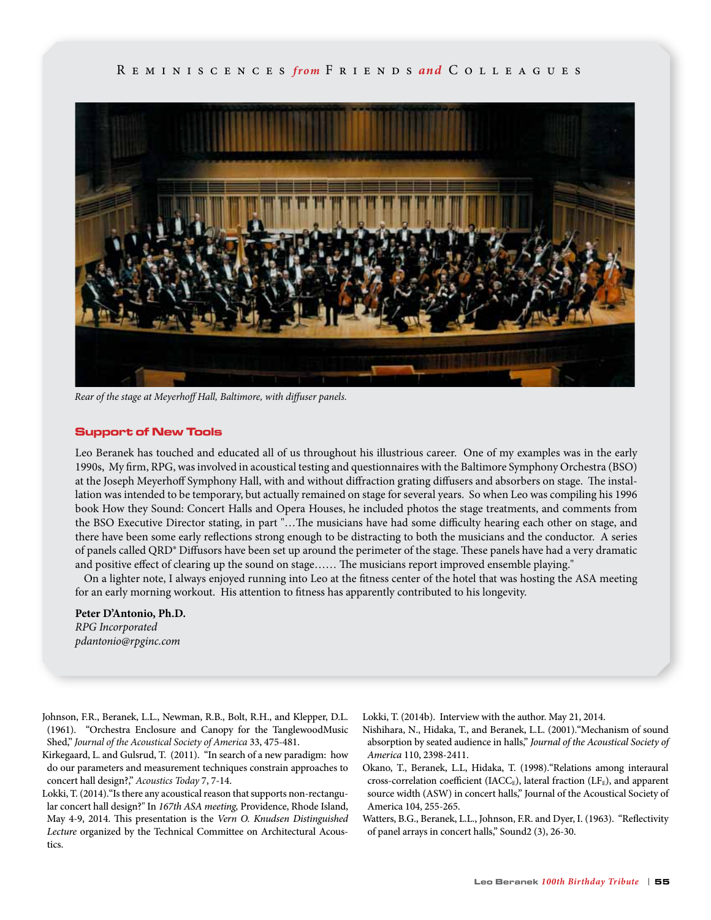

*Rear of the stage at Meyerhoff Hall, Baltimore, with diffuser panels.*

#### Support of New Tools

Leo Beranek has touched and educated all of us throughout his illustrious career. One of my examples was in the early 1990s, My firm, RPG, was involved in acoustical testing and questionnaires with the Baltimore Symphony Orchestra (BSO) at the Joseph Meyerhoff Symphony Hall, with and without diffraction grating diffusers and absorbers on stage. The installation was intended to be temporary, but actually remained on stage for several years. So when Leo was compiling his 1996 book How they Sound: Concert Halls and Opera Houses, he included photos the stage treatments, and comments from the BSO Executive Director stating, in part "…The musicians have had some difficulty hearing each other on stage, and there have been some early reflections strong enough to be distracting to both the musicians and the conductor. A series of panels called QRD® Diffusors have been set up around the perimeter of the stage. These panels have had a very dramatic and positive effect of clearing up the sound on stage…… The musicians report improved ensemble playing."

 On a lighter note, I always enjoyed running into Leo at the fitness center of the hotel that was hosting the ASA meeting for an early morning workout. His attention to fitness has apparently contributed to his longevity.

**Peter D'Antonio, Ph.D.** *RPG Incorporated pdantonio@rpginc.com*

Johnson, F.R., Beranek, L.L., Newman, R.B., Bolt, R.H., and Klepper, D.L. (1961). "Orchestra Enclosure and Canopy for the TanglewoodMusic Shed," *Journal of the Acoustical Society of America* 33, 475-481.

- Kirkegaard, L. and Gulsrud, T. (2011). "In search of a new paradigm: how do our parameters and measurement techniques constrain approaches to concert hall design?," *Acoustics Today* 7, 7-14.
- Lokki, T. (2014)."Is there any acoustical reason that supports non-rectangular concert hall design?" In *167th ASA meeting,* Providence, Rhode Island, May 4-9, 2014. This presentation is the *Vern O. Knudsen Distinguished Lecture* organized by the Technical Committee on Architectural Acoustics.

Lokki, T. (2014b). Interview with the author. May 21, 2014.

- Nishihara, N., Hidaka, T., and Beranek, L.L. (2001)."Mechanism of sound absorption by seated audience in halls," *Journal of the Acoustical Society of America* 110, 2398-2411.
- Okano, T., Beranek, L.L, Hidaka, T. (1998)."Relations among interaural cross-correlation coefficient (IACC<sub>E</sub>), lateral fraction (LF<sub>E</sub>), and apparent source width (ASW) in concert halls," Journal of the Acoustical Society of America 104, 255-265.
- Watters, B.G., Beranek, L.L., Johnson, F.R. and Dyer, I. (1963). "Reflectivity of panel arrays in concert halls," Sound2 (3), 26-30.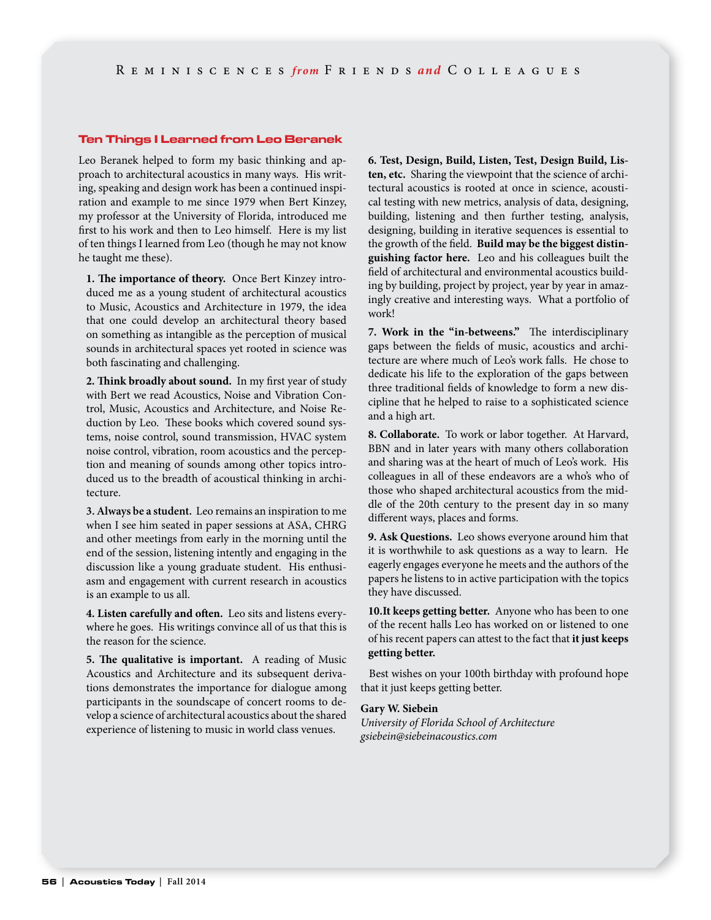#### Ten Things I Learned from Leo Beranek

Leo Beranek helped to form my basic thinking and approach to architectural acoustics in many ways. His writing, speaking and design work has been a continued inspiration and example to me since 1979 when Bert Kinzey, my professor at the University of Florida, introduced me first to his work and then to Leo himself. Here is my list of ten things I learned from Leo (though he may not know he taught me these).

**1. The importance of theory.** Once Bert Kinzey introduced me as a young student of architectural acoustics to Music, Acoustics and Architecture in 1979, the idea that one could develop an architectural theory based on something as intangible as the perception of musical sounds in architectural spaces yet rooted in science was both fascinating and challenging.

**2. Think broadly about sound.** In my first year of study with Bert we read Acoustics, Noise and Vibration Control, Music, Acoustics and Architecture, and Noise Reduction by Leo. These books which covered sound systems, noise control, sound transmission, HVAC system noise control, vibration, room acoustics and the perception and meaning of sounds among other topics introduced us to the breadth of acoustical thinking in architecture.

**3. Always be a student.** Leo remains an inspiration to me when I see him seated in paper sessions at ASA, CHRG and other meetings from early in the morning until the end of the session, listening intently and engaging in the discussion like a young graduate student. His enthusiasm and engagement with current research in acoustics is an example to us all.

**4. Listen carefully and often.** Leo sits and listens everywhere he goes. His writings convince all of us that this is the reason for the science.

**5. The qualitative is important.** A reading of Music Acoustics and Architecture and its subsequent derivations demonstrates the importance for dialogue among participants in the soundscape of concert rooms to develop a science of architectural acoustics about the shared experience of listening to music in world class venues.

**6. Test, Design, Build, Listen, Test, Design Build, Listen, etc.** Sharing the viewpoint that the science of architectural acoustics is rooted at once in science, acoustical testing with new metrics, analysis of data, designing, building, listening and then further testing, analysis, designing, building in iterative sequences is essential to the growth of the field. **Build may be the biggest distinguishing factor here.** Leo and his colleagues built the field of architectural and environmental acoustics building by building, project by project, year by year in amazingly creative and interesting ways. What a portfolio of work!

**7. Work in the "in-betweens."** The interdisciplinary gaps between the fields of music, acoustics and architecture are where much of Leo's work falls. He chose to dedicate his life to the exploration of the gaps between three traditional fields of knowledge to form a new discipline that he helped to raise to a sophisticated science and a high art.

**8. Collaborate.** To work or labor together. At Harvard, BBN and in later years with many others collaboration and sharing was at the heart of much of Leo's work. His colleagues in all of these endeavors are a who's who of those who shaped architectural acoustics from the middle of the 20th century to the present day in so many different ways, places and forms.

**9. Ask Questions.** Leo shows everyone around him that it is worthwhile to ask questions as a way to learn. He eagerly engages everyone he meets and the authors of the papers he listens to in active participation with the topics they have discussed.

**10.It keeps getting better.** Anyone who has been to one of the recent halls Leo has worked on or listened to one of his recent papers can attest to the fact that **it just keeps getting better.**

 Best wishes on your 100th birthday with profound hope that it just keeps getting better.

# **Gary W. Siebein**

*University of Florida School of Architecture gsiebein@siebeinacoustics.com*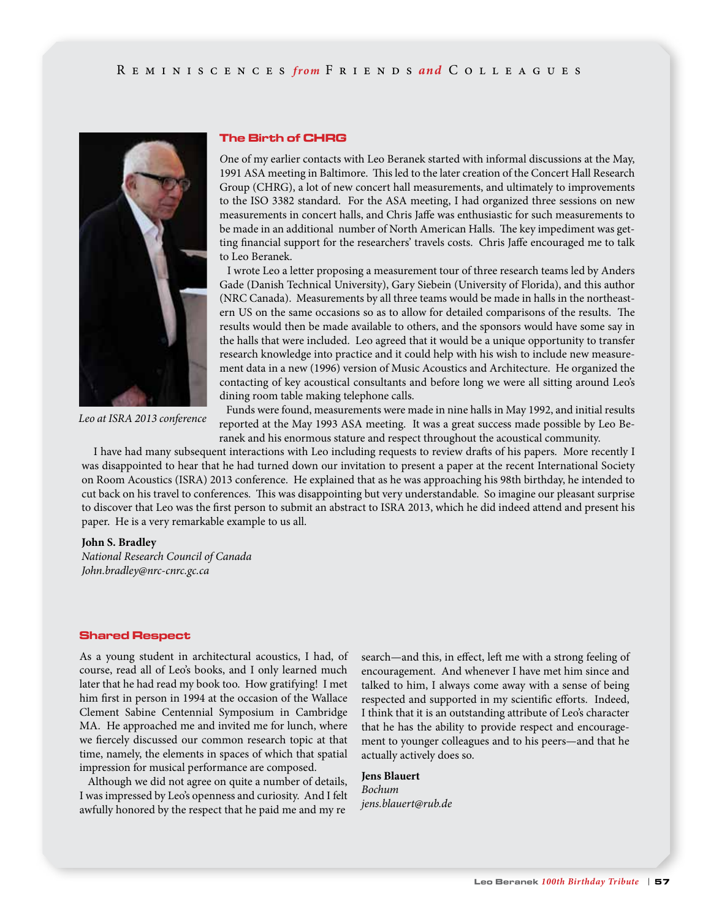

The Birth of CHRG

*O*ne of my earlier contacts with Leo Beranek started with informal discussions at the May, 1991 ASA meeting in Baltimore. This led to the later creation of the Concert Hall Research Group (CHRG), a lot of new concert hall measurements, and ultimately to improvements to the ISO 3382 standard. For the ASA meeting, I had organized three sessions on new measurements in concert halls, and Chris Jaffe was enthusiastic for such measurements to be made in an additional number of North American Halls. The key impediment was getting financial support for the researchers' travels costs. Chris Jaffe encouraged me to talk to Leo Beranek.

 I wrote Leo a letter proposing a measurement tour of three research teams led by Anders Gade (Danish Technical University), Gary Siebein (University of Florida), and this author (NRC Canada). Measurements by all three teams would be made in halls in the northeastern US on the same occasions so as to allow for detailed comparisons of the results. The results would then be made available to others, and the sponsors would have some say in the halls that were included. Leo agreed that it would be a unique opportunity to transfer research knowledge into practice and it could help with his wish to include new measurement data in a new (1996) version of Music Acoustics and Architecture. He organized the contacting of key acoustical consultants and before long we were all sitting around Leo's dining room table making telephone calls.

*Leo at ISRA 2013 conference*

 Funds were found, measurements were made in nine halls in May 1992, and initial results reported at the May 1993 ASA meeting. It was a great success made possible by Leo Beranek and his enormous stature and respect throughout the acoustical community.

 I have had many subsequent interactions with Leo including requests to review drafts of his papers. More recently I was disappointed to hear that he had turned down our invitation to present a paper at the recent International Society on Room Acoustics (ISRA) 2013 conference. He explained that as he was approaching his 98th birthday, he intended to cut back on his travel to conferences. This was disappointing but very understandable. So imagine our pleasant surprise to discover that Leo was the first person to submit an abstract to ISRA 2013, which he did indeed attend and present his paper. He is a very remarkable example to us all.

#### **John S. Bradley**

*National Research Council of Canada John.bradley@nrc-cnrc.gc.ca* 

#### Shared Respect

As a young student in architectural acoustics, I had, of course, read all of Leo's books, and I only learned much later that he had read my book too. How gratifying! I met him first in person in 1994 at the occasion of the Wallace Clement Sabine Centennial Symposium in Cambridge MA. He approached me and invited me for lunch, where we fiercely discussed our common research topic at that time, namely, the elements in spaces of which that spatial impression for musical performance are composed.

 Although we did not agree on quite a number of details, I was impressed by Leo's openness and curiosity. And I felt awfully honored by the respect that he paid me and my re

search—and this, in effect, left me with a strong feeling of encouragement. And whenever I have met him since and talked to him, I always come away with a sense of being respected and supported in my scientific efforts. Indeed, I think that it is an outstanding attribute of Leo's character that he has the ability to provide respect and encouragement to younger colleagues and to his peers—and that he actually actively does so.

# **Jens Blauert** *Bochum jens.blauert@rub.de*